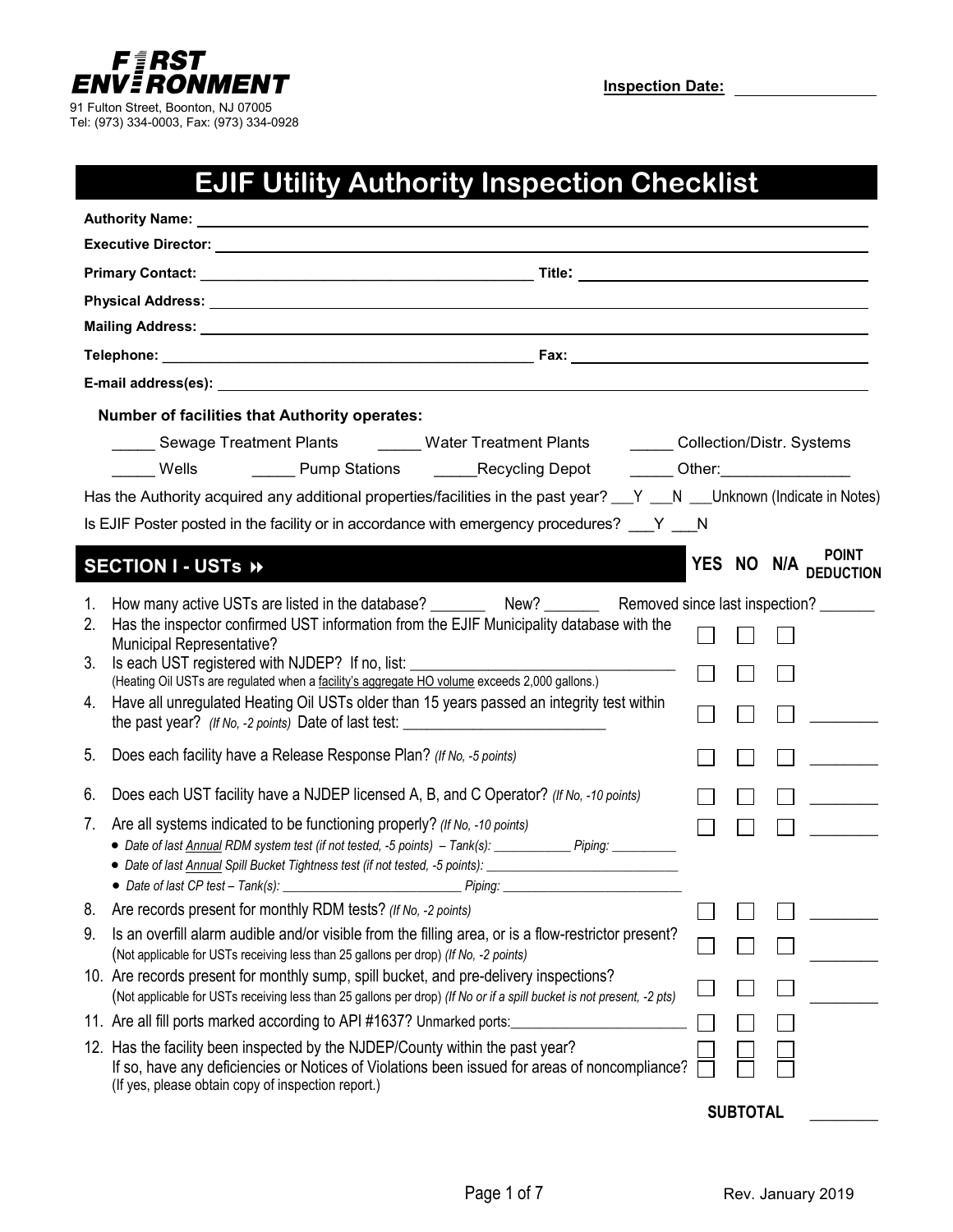

Tel: (973) 334-0003, Fax: (973) 334-0928

**Inspection Date:**

## **EJIF Utility Authority Inspection Checklist**

| Authority Name: <u>contract and a series of the series of the series of the series of the series of the series of the series of the series of the series of the series of the series of the series of the series of the series o</u> |  |
|--------------------------------------------------------------------------------------------------------------------------------------------------------------------------------------------------------------------------------------|--|
| Executive Director: University of the Contract of the Contract of the Contract of the Contract of the Contract of the Contract of the Contract of the Contract of the Contract of the Contract of the Contract of the Contract       |  |
|                                                                                                                                                                                                                                      |  |
| Physical Address: Universe Physical Address:                                                                                                                                                                                         |  |
|                                                                                                                                                                                                                                      |  |
|                                                                                                                                                                                                                                      |  |
|                                                                                                                                                                                                                                      |  |
| Number of facilities that Authority operates:                                                                                                                                                                                        |  |
| Sewage Treatment Plants _______ Water Treatment Plants _______ Collection/Distr. Systems                                                                                                                                             |  |
| Dump Stations Connecting Depot Connection Connection Pump Stations Connecting Depot<br>Wells                                                                                                                                         |  |
| Has the Authority acquired any additional properties/facilities in the past year? $N = N$ __V are Unknown (Indicate in Notes)                                                                                                        |  |
| Is EJIF Poster posted in the facility or in accordance with emergency procedures? Y N                                                                                                                                                |  |
| <br>YES NO N/A POINT                                                                                                                                                                                                                 |  |
| SECTION I - USTs »                                                                                                                                                                                                                   |  |
| 1. How many active USTs are listed in the database? ___________ New? ___________ Removed since last inspection?                                                                                                                      |  |
| Has the inspector confirmed UST information from the EJIF Municipality database with the<br>2.<br><b>Municipal Representative?</b>                                                                                                   |  |
| Is each UST registered with NJDEP? If no, list:<br>3.                                                                                                                                                                                |  |
| (Heating Oil USTs are regulated when a facility's aggregate HO volume exceeds 2,000 gallons.)                                                                                                                                        |  |
| Have all unregulated Heating Oil USTs older than 15 years passed an integrity test within<br>4.                                                                                                                                      |  |
| Does each facility have a Release Response Plan? (If No, -5 points)<br>5.                                                                                                                                                            |  |
| 6. Does each UST facility have a NJDEP licensed A, B, and C Operator? (If No, -10 points)<br>$\Box$ $\Box$                                                                                                                           |  |
| Are all systems indicated to be functioning properly? (If No, -10 points)<br>7.                                                                                                                                                      |  |
| • Date of last Annual RDM system test (if not tested, -5 points) - Tank(s): __________ Piping: ________                                                                                                                              |  |
|                                                                                                                                                                                                                                      |  |
|                                                                                                                                                                                                                                      |  |
| Are records present for monthly RDM tests? (If No, -2 points)<br>ŏ.                                                                                                                                                                  |  |
| Is an overfill alarm audible and/or visible from the filling area, or is a flow-restrictor present?<br>9.<br>(Not applicable for USTs receiving less than 25 gallons per drop) (If No, -2 points)                                    |  |
| 10. Are records present for monthly sump, spill bucket, and pre-delivery inspections?<br>(Not applicable for USTs receiving less than 25 gallons per drop) (If No or if a spill bucket is not present, -2 pts)                       |  |
| 11. Are all fill ports marked according to API #1637? Unmarked ports:                                                                                                                                                                |  |
| 12. Has the facility been inspected by the NJDEP/County within the past year?<br>If so, have any deficiencies or Notices of Violations been issued for areas of noncompliance?                                                       |  |
| (If yes, please obtain copy of inspection report.)                                                                                                                                                                                   |  |

**SUBTOTAL \_\_\_\_\_\_\_\_**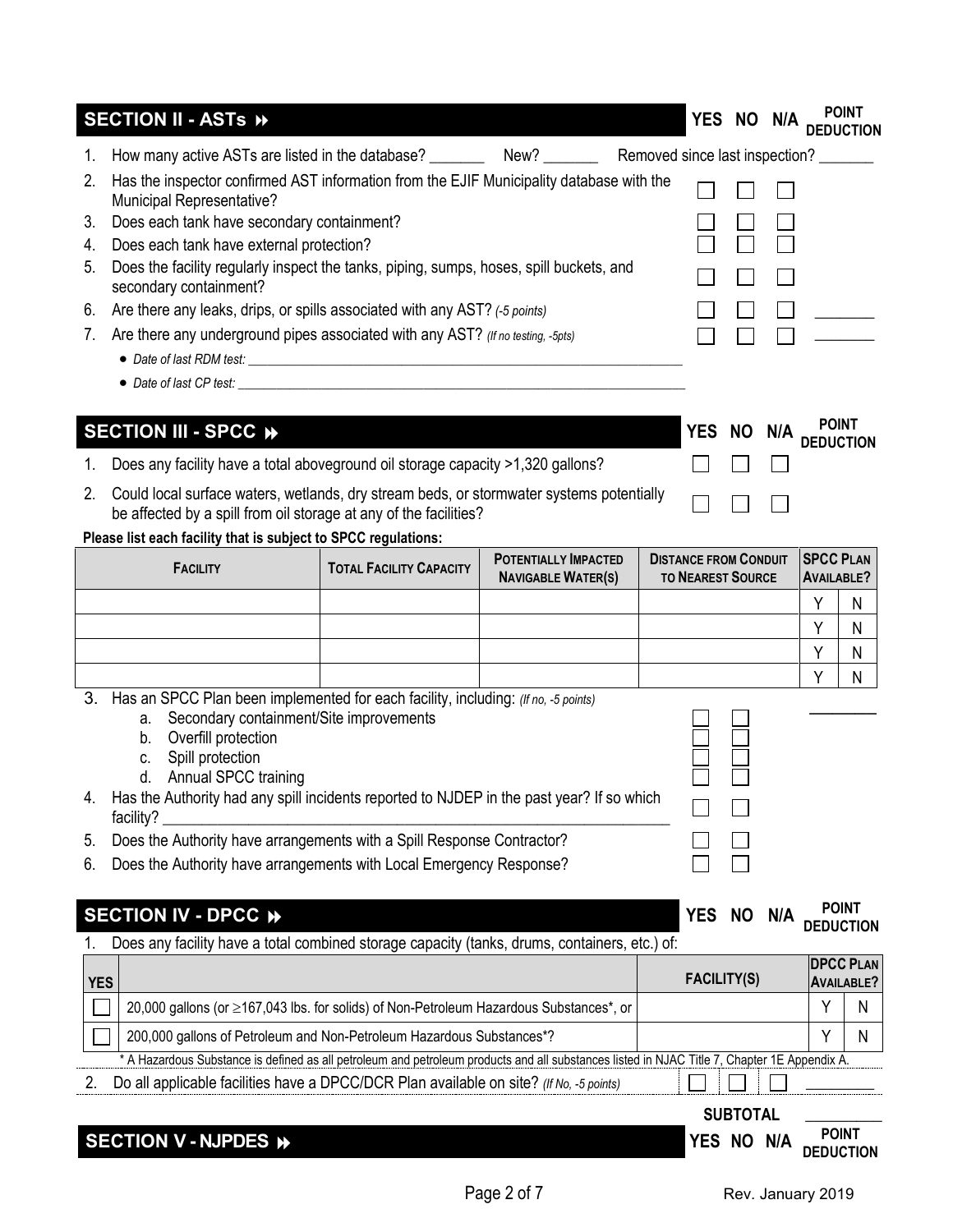|    | SECTION II - ASTS »                                                                                                                                                                        |                                |                                                          |  | YES NO N/A                                               |           |     |                                       | <b>POINT</b>                          |
|----|--------------------------------------------------------------------------------------------------------------------------------------------------------------------------------------------|--------------------------------|----------------------------------------------------------|--|----------------------------------------------------------|-----------|-----|---------------------------------------|---------------------------------------|
|    |                                                                                                                                                                                            |                                |                                                          |  |                                                          |           |     |                                       |                                       |
| 2. | Has the inspector confirmed AST information from the EJIF Municipality database with the<br>Municipal Representative?                                                                      |                                |                                                          |  |                                                          |           |     |                                       |                                       |
| 3. | Does each tank have secondary containment?<br>Figure 2014                                                                                                                                  |                                |                                                          |  |                                                          |           |     |                                       |                                       |
| 4. | Does each tank have external protection?                                                                                                                                                   |                                |                                                          |  |                                                          |           |     |                                       |                                       |
| 5. | Does the facility regularly inspect the tanks, piping, sumps, hoses, spill buckets, and<br>secondary containment?                                                                          |                                |                                                          |  |                                                          |           |     |                                       |                                       |
| 6. | Are there any leaks, drips, or spills associated with any AST? (-5 points)                                                                                                                 |                                |                                                          |  |                                                          |           |     |                                       |                                       |
| 7. | Are there any underground pipes associated with any AST? (If no testing, -5pts)                                                                                                            |                                |                                                          |  |                                                          |           |     |                                       |                                       |
|    |                                                                                                                                                                                            |                                |                                                          |  |                                                          |           |     |                                       |                                       |
|    | • Date of last CP test:                                                                                                                                                                    |                                |                                                          |  |                                                          |           |     |                                       |                                       |
|    |                                                                                                                                                                                            |                                |                                                          |  |                                                          |           |     |                                       |                                       |
|    | SECTION III - SPCC »                                                                                                                                                                       |                                |                                                          |  | YES NO N/A PUISE                                         |           |     |                                       |                                       |
|    | Does any facility have a total aboveground oil storage capacity >1,320 gallons?                                                                                                            |                                |                                                          |  |                                                          |           |     |                                       |                                       |
| 2. | Could local surface waters, wetlands, dry stream beds, or stormwater systems potentially<br>be affected by a spill from oil storage at any of the facilities?                              |                                |                                                          |  |                                                          |           |     |                                       |                                       |
|    | Please list each facility that is subject to SPCC regulations:                                                                                                                             |                                |                                                          |  |                                                          |           |     |                                       |                                       |
|    | <b>FACILITY</b>                                                                                                                                                                            | <b>TOTAL FACILITY CAPACITY</b> | <b>POTENTIALLY IMPACTED</b><br><b>NAVIGABLE WATER(S)</b> |  | <b>DISTANCE FROM CONDUIT</b><br><b>TO NEAREST SOURCE</b> |           |     | <b>SPCC PLAN</b><br><b>AVAILABLE?</b> |                                       |
|    |                                                                                                                                                                                            |                                |                                                          |  |                                                          |           |     | Υ                                     | N                                     |
|    |                                                                                                                                                                                            |                                |                                                          |  |                                                          |           |     | Υ                                     | N                                     |
|    |                                                                                                                                                                                            |                                |                                                          |  |                                                          |           |     | Υ                                     | Ν                                     |
|    |                                                                                                                                                                                            |                                |                                                          |  |                                                          |           |     | Υ                                     | N                                     |
| 3. | Has an SPCC Plan been implemented for each facility, including: (If no, -5 points)<br>Secondary containment/Site improvements<br>a.<br>Overfill protection<br>b.<br>Spill protection<br>C. |                                |                                                          |  |                                                          |           |     |                                       |                                       |
|    | Annual SPCC training<br>d.                                                                                                                                                                 |                                |                                                          |  |                                                          |           |     |                                       |                                       |
|    | Has the Authority had any spill incidents reported to NJDEP in the past year? If so which<br>facility?                                                                                     |                                |                                                          |  |                                                          |           |     |                                       |                                       |
| 5. | Does the Authority have arrangements with a Spill Response Contractor?                                                                                                                     |                                |                                                          |  |                                                          |           |     |                                       |                                       |
| 6. | Does the Authority have arrangements with Local Emergency Response?                                                                                                                        |                                |                                                          |  |                                                          |           |     |                                       |                                       |
|    |                                                                                                                                                                                            |                                |                                                          |  |                                                          |           |     |                                       |                                       |
|    | SECTION IV - DPCC →                                                                                                                                                                        |                                |                                                          |  | <b>YES</b>                                               | <b>NO</b> | N/A |                                       | <b>POINT</b><br><b>DEDUCTION</b>      |
|    | Does any facility have a total combined storage capacity (tanks, drums, containers, etc.) of:                                                                                              |                                |                                                          |  |                                                          |           |     |                                       |                                       |
|    | <b>YES</b>                                                                                                                                                                                 |                                |                                                          |  | <b>FACILITY(S)</b>                                       |           |     |                                       | <b>DPCC PLAN</b><br><b>AVAILABLE?</b> |
|    | 20,000 gallons (or ≥167,043 lbs. for solids) of Non-Petroleum Hazardous Substances*, or                                                                                                    |                                |                                                          |  |                                                          |           |     | Y                                     | N                                     |
|    | 200,000 gallons of Petroleum and Non-Petroleum Hazardous Substances*?                                                                                                                      |                                |                                                          |  |                                                          |           |     |                                       |                                       |

\* A Hazardous Substance is defined as all petroleum and petroleum products and all substances listed in NJAC Title 7, Chapter 1E Appendix A.

2. Do all applicable facilities have a DPCC/DCR Plan available on site? *(If No, -5 points)*  $\Box$ 

**SUBTOTAL \_\_\_\_\_\_\_\_\_**

| <b>SECTION V - NJPDES</b> | Nľ<br>. v | N/A | POIN.<br>TION |  |
|---------------------------|-----------|-----|---------------|--|
|                           |           |     |               |  |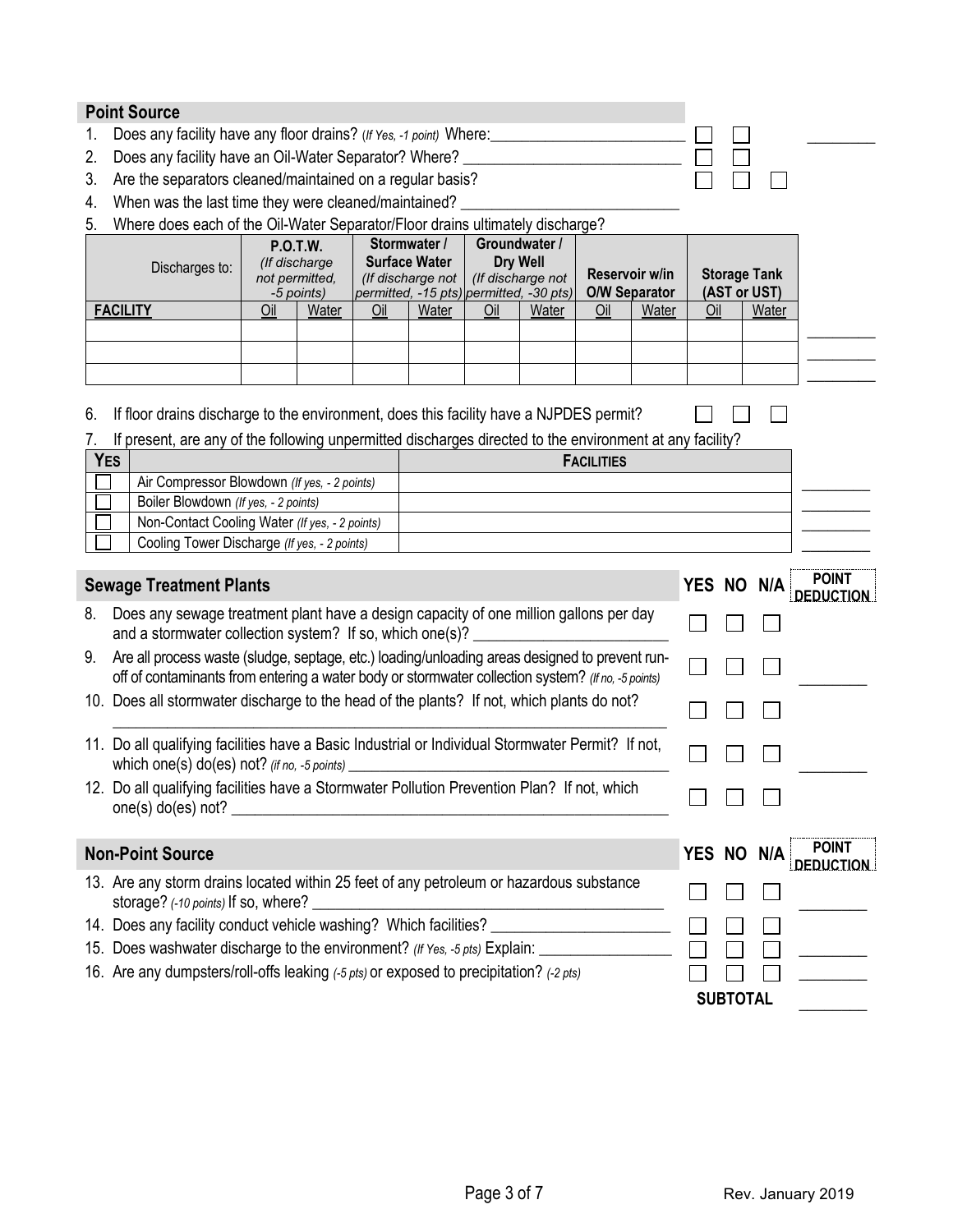| Does any facility have any floor drains? (If Yes, -1 point) Where:<br>Does any facility have an Oil-Water Separator? Where?<br>2.<br>Are the separators cleaned/maintained on a regular basis?<br>3.<br>When was the last time they were cleaned/maintained?<br>4.<br>Where does each of the Oil-Water Separator/Floor drains ultimately discharge?<br>5.<br>Stormwater /<br>Groundwater /<br><b>P.O.T.W.</b><br><b>Surface Water</b><br>Dry Well<br>(If discharge<br>Discharges to:<br>Reservoir w/in<br><b>Storage Tank</b><br>not permitted,<br>(If discharge not<br>(If discharge not<br><b>O/W Separator</b><br>(AST or UST)<br>permitted, -15 pts) permitted, -30 pts)<br>-5 points)<br><b>FACILITY</b><br>Water<br>Water<br>Water<br>Oil<br>Water<br>Oil<br>Water<br>Oil<br>Oil<br>Oil<br>If floor drains discharge to the environment, does this facility have a NJPDES permit?<br>6.<br>If present, are any of the following unpermitted discharges directed to the environment at any facility?<br><b>YES</b><br><b>FACILITIES</b><br>Air Compressor Blowdown (If yes, - 2 points)<br>Boiler Blowdown (If yes, - 2 points)<br>Non-Contact Cooling Water (If yes, - 2 points)<br>Cooling Tower Discharge (If yes, - 2 points)<br>POINT<br><b>Sewage Treatment Plants</b><br>YES NO<br>N/A<br><b>DEDUCTION</b><br>Does any sewage treatment plant have a design capacity of one million gallons per day<br>8.<br>and a stormwater collection system? If so, which one(s)?<br>Are all process waste (sludge, septage, etc.) loading/unloading areas designed to prevent run-<br>9.<br>off of contaminants from entering a water body or stormwater collection system? (If no, -5 points)<br>10. Does all stormwater discharge to the head of the plants? If not, which plants do not?<br>11. Do all qualifying facilities have a Basic Industrial or Individual Stormwater Permit? If not,<br>which one(s) do(es) not? (if no, -5 points)<br>12. Do all qualifying facilities have a Stormwater Pollution Prevention Plan? If not, which<br>one(s) do(es) not?<br>POINT<br><b>Non-Point Source</b><br>YES NO<br>N/A<br><b>DEDUCTION</b><br>13. Are any storm drains located within 25 feet of any petroleum or hazardous substance<br>storage? (-10 points) If so, where?<br>14. Does any facility conduct vehicle washing? Which facilities?<br>15. Does washwater discharge to the environment? (If Yes, -5 pts) Explain:<br>16. Are any dumpsters/roll-offs leaking (-5 pts) or exposed to precipitation? (-2 pts)<br><b>SUBTOTAL</b> | <b>Point Source</b> |  |  |  |  |  |  |  |  |  |  |  |  |
|-------------------------------------------------------------------------------------------------------------------------------------------------------------------------------------------------------------------------------------------------------------------------------------------------------------------------------------------------------------------------------------------------------------------------------------------------------------------------------------------------------------------------------------------------------------------------------------------------------------------------------------------------------------------------------------------------------------------------------------------------------------------------------------------------------------------------------------------------------------------------------------------------------------------------------------------------------------------------------------------------------------------------------------------------------------------------------------------------------------------------------------------------------------------------------------------------------------------------------------------------------------------------------------------------------------------------------------------------------------------------------------------------------------------------------------------------------------------------------------------------------------------------------------------------------------------------------------------------------------------------------------------------------------------------------------------------------------------------------------------------------------------------------------------------------------------------------------------------------------------------------------------------------------------------------------------------------------------------------------------------------------------------------------------------------------------------------------------------------------------------------------------------------------------------------------------------------------------------------------------------------------------------------------------------------------------------------------------------------------------------------------------------------------------------------------------------------------------------------------------------------------------------------------------------|---------------------|--|--|--|--|--|--|--|--|--|--|--|--|
|                                                                                                                                                                                                                                                                                                                                                                                                                                                                                                                                                                                                                                                                                                                                                                                                                                                                                                                                                                                                                                                                                                                                                                                                                                                                                                                                                                                                                                                                                                                                                                                                                                                                                                                                                                                                                                                                                                                                                                                                                                                                                                                                                                                                                                                                                                                                                                                                                                                                                                                                                 |                     |  |  |  |  |  |  |  |  |  |  |  |  |
|                                                                                                                                                                                                                                                                                                                                                                                                                                                                                                                                                                                                                                                                                                                                                                                                                                                                                                                                                                                                                                                                                                                                                                                                                                                                                                                                                                                                                                                                                                                                                                                                                                                                                                                                                                                                                                                                                                                                                                                                                                                                                                                                                                                                                                                                                                                                                                                                                                                                                                                                                 |                     |  |  |  |  |  |  |  |  |  |  |  |  |
|                                                                                                                                                                                                                                                                                                                                                                                                                                                                                                                                                                                                                                                                                                                                                                                                                                                                                                                                                                                                                                                                                                                                                                                                                                                                                                                                                                                                                                                                                                                                                                                                                                                                                                                                                                                                                                                                                                                                                                                                                                                                                                                                                                                                                                                                                                                                                                                                                                                                                                                                                 |                     |  |  |  |  |  |  |  |  |  |  |  |  |
|                                                                                                                                                                                                                                                                                                                                                                                                                                                                                                                                                                                                                                                                                                                                                                                                                                                                                                                                                                                                                                                                                                                                                                                                                                                                                                                                                                                                                                                                                                                                                                                                                                                                                                                                                                                                                                                                                                                                                                                                                                                                                                                                                                                                                                                                                                                                                                                                                                                                                                                                                 |                     |  |  |  |  |  |  |  |  |  |  |  |  |
|                                                                                                                                                                                                                                                                                                                                                                                                                                                                                                                                                                                                                                                                                                                                                                                                                                                                                                                                                                                                                                                                                                                                                                                                                                                                                                                                                                                                                                                                                                                                                                                                                                                                                                                                                                                                                                                                                                                                                                                                                                                                                                                                                                                                                                                                                                                                                                                                                                                                                                                                                 |                     |  |  |  |  |  |  |  |  |  |  |  |  |
|                                                                                                                                                                                                                                                                                                                                                                                                                                                                                                                                                                                                                                                                                                                                                                                                                                                                                                                                                                                                                                                                                                                                                                                                                                                                                                                                                                                                                                                                                                                                                                                                                                                                                                                                                                                                                                                                                                                                                                                                                                                                                                                                                                                                                                                                                                                                                                                                                                                                                                                                                 |                     |  |  |  |  |  |  |  |  |  |  |  |  |
|                                                                                                                                                                                                                                                                                                                                                                                                                                                                                                                                                                                                                                                                                                                                                                                                                                                                                                                                                                                                                                                                                                                                                                                                                                                                                                                                                                                                                                                                                                                                                                                                                                                                                                                                                                                                                                                                                                                                                                                                                                                                                                                                                                                                                                                                                                                                                                                                                                                                                                                                                 |                     |  |  |  |  |  |  |  |  |  |  |  |  |
|                                                                                                                                                                                                                                                                                                                                                                                                                                                                                                                                                                                                                                                                                                                                                                                                                                                                                                                                                                                                                                                                                                                                                                                                                                                                                                                                                                                                                                                                                                                                                                                                                                                                                                                                                                                                                                                                                                                                                                                                                                                                                                                                                                                                                                                                                                                                                                                                                                                                                                                                                 |                     |  |  |  |  |  |  |  |  |  |  |  |  |
|                                                                                                                                                                                                                                                                                                                                                                                                                                                                                                                                                                                                                                                                                                                                                                                                                                                                                                                                                                                                                                                                                                                                                                                                                                                                                                                                                                                                                                                                                                                                                                                                                                                                                                                                                                                                                                                                                                                                                                                                                                                                                                                                                                                                                                                                                                                                                                                                                                                                                                                                                 |                     |  |  |  |  |  |  |  |  |  |  |  |  |
|                                                                                                                                                                                                                                                                                                                                                                                                                                                                                                                                                                                                                                                                                                                                                                                                                                                                                                                                                                                                                                                                                                                                                                                                                                                                                                                                                                                                                                                                                                                                                                                                                                                                                                                                                                                                                                                                                                                                                                                                                                                                                                                                                                                                                                                                                                                                                                                                                                                                                                                                                 |                     |  |  |  |  |  |  |  |  |  |  |  |  |
|                                                                                                                                                                                                                                                                                                                                                                                                                                                                                                                                                                                                                                                                                                                                                                                                                                                                                                                                                                                                                                                                                                                                                                                                                                                                                                                                                                                                                                                                                                                                                                                                                                                                                                                                                                                                                                                                                                                                                                                                                                                                                                                                                                                                                                                                                                                                                                                                                                                                                                                                                 |                     |  |  |  |  |  |  |  |  |  |  |  |  |
|                                                                                                                                                                                                                                                                                                                                                                                                                                                                                                                                                                                                                                                                                                                                                                                                                                                                                                                                                                                                                                                                                                                                                                                                                                                                                                                                                                                                                                                                                                                                                                                                                                                                                                                                                                                                                                                                                                                                                                                                                                                                                                                                                                                                                                                                                                                                                                                                                                                                                                                                                 |                     |  |  |  |  |  |  |  |  |  |  |  |  |
|                                                                                                                                                                                                                                                                                                                                                                                                                                                                                                                                                                                                                                                                                                                                                                                                                                                                                                                                                                                                                                                                                                                                                                                                                                                                                                                                                                                                                                                                                                                                                                                                                                                                                                                                                                                                                                                                                                                                                                                                                                                                                                                                                                                                                                                                                                                                                                                                                                                                                                                                                 |                     |  |  |  |  |  |  |  |  |  |  |  |  |
|                                                                                                                                                                                                                                                                                                                                                                                                                                                                                                                                                                                                                                                                                                                                                                                                                                                                                                                                                                                                                                                                                                                                                                                                                                                                                                                                                                                                                                                                                                                                                                                                                                                                                                                                                                                                                                                                                                                                                                                                                                                                                                                                                                                                                                                                                                                                                                                                                                                                                                                                                 |                     |  |  |  |  |  |  |  |  |  |  |  |  |
|                                                                                                                                                                                                                                                                                                                                                                                                                                                                                                                                                                                                                                                                                                                                                                                                                                                                                                                                                                                                                                                                                                                                                                                                                                                                                                                                                                                                                                                                                                                                                                                                                                                                                                                                                                                                                                                                                                                                                                                                                                                                                                                                                                                                                                                                                                                                                                                                                                                                                                                                                 |                     |  |  |  |  |  |  |  |  |  |  |  |  |
|                                                                                                                                                                                                                                                                                                                                                                                                                                                                                                                                                                                                                                                                                                                                                                                                                                                                                                                                                                                                                                                                                                                                                                                                                                                                                                                                                                                                                                                                                                                                                                                                                                                                                                                                                                                                                                                                                                                                                                                                                                                                                                                                                                                                                                                                                                                                                                                                                                                                                                                                                 |                     |  |  |  |  |  |  |  |  |  |  |  |  |
|                                                                                                                                                                                                                                                                                                                                                                                                                                                                                                                                                                                                                                                                                                                                                                                                                                                                                                                                                                                                                                                                                                                                                                                                                                                                                                                                                                                                                                                                                                                                                                                                                                                                                                                                                                                                                                                                                                                                                                                                                                                                                                                                                                                                                                                                                                                                                                                                                                                                                                                                                 |                     |  |  |  |  |  |  |  |  |  |  |  |  |
|                                                                                                                                                                                                                                                                                                                                                                                                                                                                                                                                                                                                                                                                                                                                                                                                                                                                                                                                                                                                                                                                                                                                                                                                                                                                                                                                                                                                                                                                                                                                                                                                                                                                                                                                                                                                                                                                                                                                                                                                                                                                                                                                                                                                                                                                                                                                                                                                                                                                                                                                                 |                     |  |  |  |  |  |  |  |  |  |  |  |  |
|                                                                                                                                                                                                                                                                                                                                                                                                                                                                                                                                                                                                                                                                                                                                                                                                                                                                                                                                                                                                                                                                                                                                                                                                                                                                                                                                                                                                                                                                                                                                                                                                                                                                                                                                                                                                                                                                                                                                                                                                                                                                                                                                                                                                                                                                                                                                                                                                                                                                                                                                                 |                     |  |  |  |  |  |  |  |  |  |  |  |  |
|                                                                                                                                                                                                                                                                                                                                                                                                                                                                                                                                                                                                                                                                                                                                                                                                                                                                                                                                                                                                                                                                                                                                                                                                                                                                                                                                                                                                                                                                                                                                                                                                                                                                                                                                                                                                                                                                                                                                                                                                                                                                                                                                                                                                                                                                                                                                                                                                                                                                                                                                                 |                     |  |  |  |  |  |  |  |  |  |  |  |  |
|                                                                                                                                                                                                                                                                                                                                                                                                                                                                                                                                                                                                                                                                                                                                                                                                                                                                                                                                                                                                                                                                                                                                                                                                                                                                                                                                                                                                                                                                                                                                                                                                                                                                                                                                                                                                                                                                                                                                                                                                                                                                                                                                                                                                                                                                                                                                                                                                                                                                                                                                                 |                     |  |  |  |  |  |  |  |  |  |  |  |  |
|                                                                                                                                                                                                                                                                                                                                                                                                                                                                                                                                                                                                                                                                                                                                                                                                                                                                                                                                                                                                                                                                                                                                                                                                                                                                                                                                                                                                                                                                                                                                                                                                                                                                                                                                                                                                                                                                                                                                                                                                                                                                                                                                                                                                                                                                                                                                                                                                                                                                                                                                                 |                     |  |  |  |  |  |  |  |  |  |  |  |  |
|                                                                                                                                                                                                                                                                                                                                                                                                                                                                                                                                                                                                                                                                                                                                                                                                                                                                                                                                                                                                                                                                                                                                                                                                                                                                                                                                                                                                                                                                                                                                                                                                                                                                                                                                                                                                                                                                                                                                                                                                                                                                                                                                                                                                                                                                                                                                                                                                                                                                                                                                                 |                     |  |  |  |  |  |  |  |  |  |  |  |  |
|                                                                                                                                                                                                                                                                                                                                                                                                                                                                                                                                                                                                                                                                                                                                                                                                                                                                                                                                                                                                                                                                                                                                                                                                                                                                                                                                                                                                                                                                                                                                                                                                                                                                                                                                                                                                                                                                                                                                                                                                                                                                                                                                                                                                                                                                                                                                                                                                                                                                                                                                                 |                     |  |  |  |  |  |  |  |  |  |  |  |  |
|                                                                                                                                                                                                                                                                                                                                                                                                                                                                                                                                                                                                                                                                                                                                                                                                                                                                                                                                                                                                                                                                                                                                                                                                                                                                                                                                                                                                                                                                                                                                                                                                                                                                                                                                                                                                                                                                                                                                                                                                                                                                                                                                                                                                                                                                                                                                                                                                                                                                                                                                                 |                     |  |  |  |  |  |  |  |  |  |  |  |  |
|                                                                                                                                                                                                                                                                                                                                                                                                                                                                                                                                                                                                                                                                                                                                                                                                                                                                                                                                                                                                                                                                                                                                                                                                                                                                                                                                                                                                                                                                                                                                                                                                                                                                                                                                                                                                                                                                                                                                                                                                                                                                                                                                                                                                                                                                                                                                                                                                                                                                                                                                                 |                     |  |  |  |  |  |  |  |  |  |  |  |  |
|                                                                                                                                                                                                                                                                                                                                                                                                                                                                                                                                                                                                                                                                                                                                                                                                                                                                                                                                                                                                                                                                                                                                                                                                                                                                                                                                                                                                                                                                                                                                                                                                                                                                                                                                                                                                                                                                                                                                                                                                                                                                                                                                                                                                                                                                                                                                                                                                                                                                                                                                                 |                     |  |  |  |  |  |  |  |  |  |  |  |  |
|                                                                                                                                                                                                                                                                                                                                                                                                                                                                                                                                                                                                                                                                                                                                                                                                                                                                                                                                                                                                                                                                                                                                                                                                                                                                                                                                                                                                                                                                                                                                                                                                                                                                                                                                                                                                                                                                                                                                                                                                                                                                                                                                                                                                                                                                                                                                                                                                                                                                                                                                                 |                     |  |  |  |  |  |  |  |  |  |  |  |  |
|                                                                                                                                                                                                                                                                                                                                                                                                                                                                                                                                                                                                                                                                                                                                                                                                                                                                                                                                                                                                                                                                                                                                                                                                                                                                                                                                                                                                                                                                                                                                                                                                                                                                                                                                                                                                                                                                                                                                                                                                                                                                                                                                                                                                                                                                                                                                                                                                                                                                                                                                                 |                     |  |  |  |  |  |  |  |  |  |  |  |  |
|                                                                                                                                                                                                                                                                                                                                                                                                                                                                                                                                                                                                                                                                                                                                                                                                                                                                                                                                                                                                                                                                                                                                                                                                                                                                                                                                                                                                                                                                                                                                                                                                                                                                                                                                                                                                                                                                                                                                                                                                                                                                                                                                                                                                                                                                                                                                                                                                                                                                                                                                                 |                     |  |  |  |  |  |  |  |  |  |  |  |  |
|                                                                                                                                                                                                                                                                                                                                                                                                                                                                                                                                                                                                                                                                                                                                                                                                                                                                                                                                                                                                                                                                                                                                                                                                                                                                                                                                                                                                                                                                                                                                                                                                                                                                                                                                                                                                                                                                                                                                                                                                                                                                                                                                                                                                                                                                                                                                                                                                                                                                                                                                                 |                     |  |  |  |  |  |  |  |  |  |  |  |  |
|                                                                                                                                                                                                                                                                                                                                                                                                                                                                                                                                                                                                                                                                                                                                                                                                                                                                                                                                                                                                                                                                                                                                                                                                                                                                                                                                                                                                                                                                                                                                                                                                                                                                                                                                                                                                                                                                                                                                                                                                                                                                                                                                                                                                                                                                                                                                                                                                                                                                                                                                                 |                     |  |  |  |  |  |  |  |  |  |  |  |  |
|                                                                                                                                                                                                                                                                                                                                                                                                                                                                                                                                                                                                                                                                                                                                                                                                                                                                                                                                                                                                                                                                                                                                                                                                                                                                                                                                                                                                                                                                                                                                                                                                                                                                                                                                                                                                                                                                                                                                                                                                                                                                                                                                                                                                                                                                                                                                                                                                                                                                                                                                                 |                     |  |  |  |  |  |  |  |  |  |  |  |  |
|                                                                                                                                                                                                                                                                                                                                                                                                                                                                                                                                                                                                                                                                                                                                                                                                                                                                                                                                                                                                                                                                                                                                                                                                                                                                                                                                                                                                                                                                                                                                                                                                                                                                                                                                                                                                                                                                                                                                                                                                                                                                                                                                                                                                                                                                                                                                                                                                                                                                                                                                                 |                     |  |  |  |  |  |  |  |  |  |  |  |  |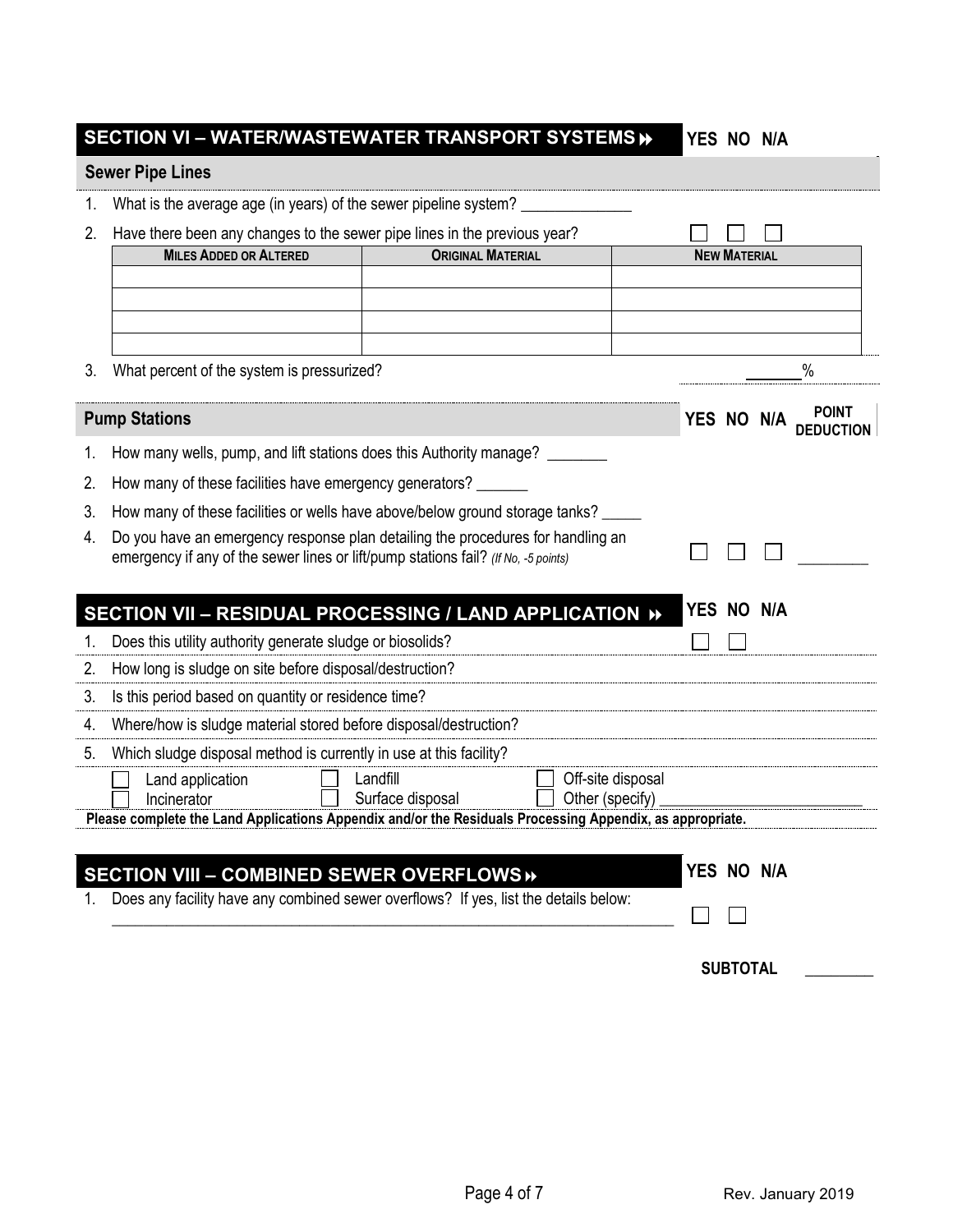## **SECTION VI – WATER/WASTEWATER TRANSPORT SYSTEMS YES NO N/A**

## **Sewer Pipe Lines**

|  | 1. What is the average age (in years) of the sewer pipeline system? |  |
|--|---------------------------------------------------------------------|--|
|  |                                                                     |  |

2. Have there been any changes to the sewer pipe lines in the previous year?

| Have there been any changes to the sewer pipe lines in the previous year? |                          |                     |
|---------------------------------------------------------------------------|--------------------------|---------------------|
| <b>MILES ADDED OR ALTERED</b>                                             | <b>ORIGINAL MATERIAL</b> | <b>NEW MATERIAL</b> |
|                                                                           |                          |                     |
|                                                                           |                          |                     |
|                                                                           |                          |                     |
|                                                                           |                          |                     |

3. What percent of the system is pressurized? %

|    | <b>Pump Stations</b>                                                                                                                                                  | YES NO N/A    |     | <b>POINT</b> |
|----|-----------------------------------------------------------------------------------------------------------------------------------------------------------------------|---------------|-----|--------------|
|    | How many wells, pump, and lift stations does this Authority manage?                                                                                                   |               |     |              |
| 2. | How many of these facilities have emergency generators?                                                                                                               |               |     |              |
| 3. | How many of these facilities or wells have above/below ground storage tanks?                                                                                          |               |     |              |
|    | Do you have an emergency response plan detailing the procedures for handling an<br>emergency if any of the sewer lines or lift/pump stations fail? (If No, -5 points) |               |     |              |
|    | SECTION VII - RESIDUAL PROCESSING / LAND APPLICATION »                                                                                                                | YES NO        | N/A |              |
| 1. | Does this utility authority generate sludge or biosolids?                                                                                                             |               |     |              |
| 2. | How long is sludge on site before disposal/destruction?                                                                                                               |               |     |              |
| 3. | Is this period based on quantity or residence time?                                                                                                                   |               |     |              |
| 4. | Where/how is sludge material stored before disposal/destruction?                                                                                                      |               |     |              |
| 5. | Which sludge disposal method is currently in use at this facility?                                                                                                    |               |     |              |
|    | Off-site disposal<br>Land application<br>Landfill<br>Surface disposal<br>Other (specify)<br>Incinerator                                                               |               |     |              |
|    | Please complete the Land Applications Appendix and/or the Residuals Processing Appendix, as appropriate.                                                              |               |     |              |
|    | <b>SECTION VIII - COMBINED SEWER OVERFLOWS»</b>                                                                                                                       | <b>YES NO</b> | N/A |              |
|    | Does any facility have any combined sewer overflows? If yes, list the details below:                                                                                  |               |     |              |

**SUBTOTAL \_\_\_\_\_\_\_\_**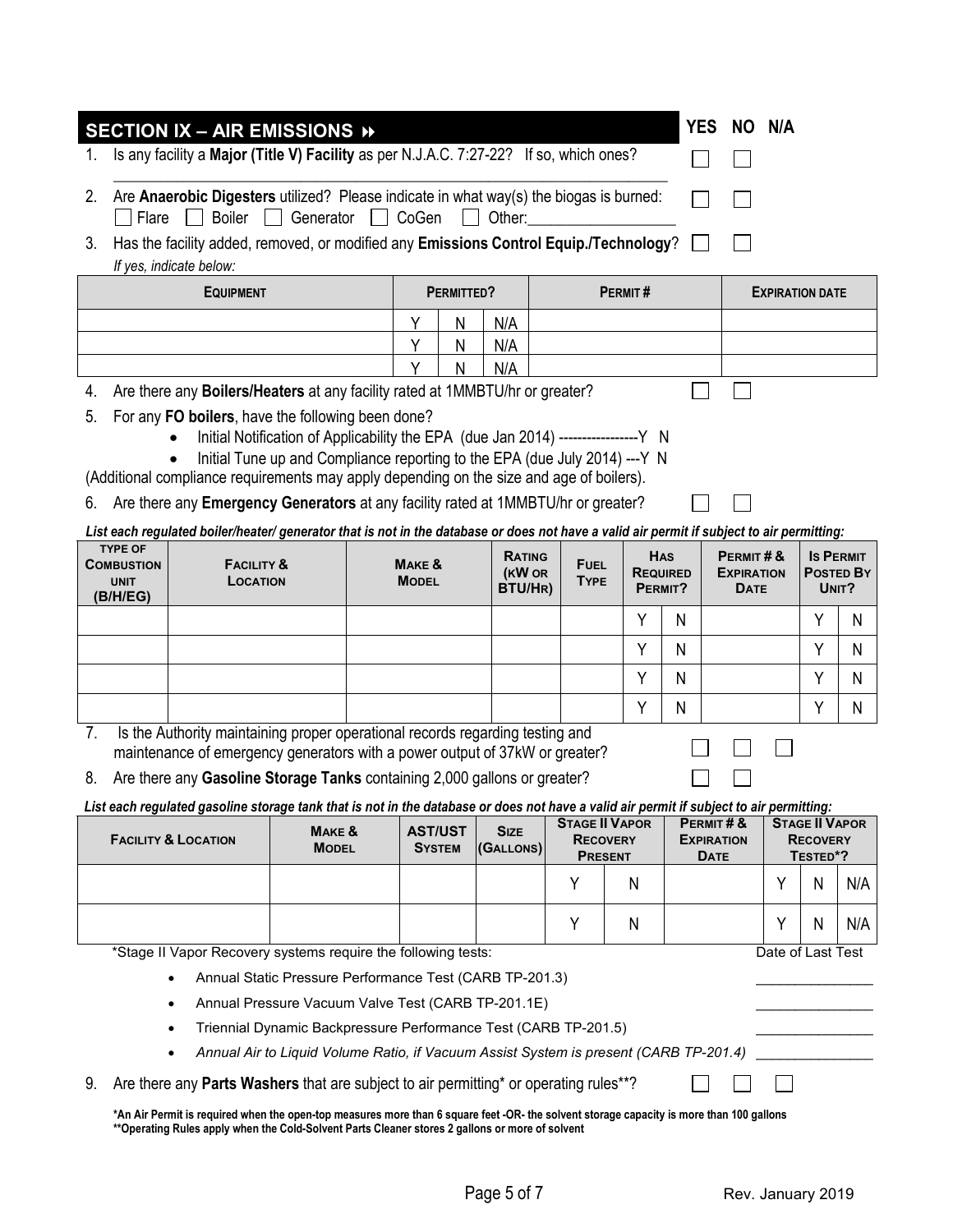| 1. |                                                                                                                                                                                                                                              | SECTION IX - AIR EMISSIONS »<br>Is any facility a Major (Title V) Facility as per N.J.A.C. 7:27-22? If so, which ones?                                       |                                                                                       |  |                                   |                             |  |                                         |                 |                                          | <b>YES</b><br>NO .                           | N/A               |                                                      |                                        |
|----|----------------------------------------------------------------------------------------------------------------------------------------------------------------------------------------------------------------------------------------------|--------------------------------------------------------------------------------------------------------------------------------------------------------------|---------------------------------------------------------------------------------------|--|-----------------------------------|-----------------------------|--|-----------------------------------------|-----------------|------------------------------------------|----------------------------------------------|-------------------|------------------------------------------------------|----------------------------------------|
| 2. | Are Anaerobic Digesters utilized? Please indicate in what way(s) the biogas is burned:<br><b>Boiler</b><br>Flare<br>Generator<br>CoGen<br>Other:                                                                                             |                                                                                                                                                              |                                                                                       |  |                                   |                             |  |                                         |                 |                                          |                                              |                   |                                                      |                                        |
| 3. | Has the facility added, removed, or modified any Emissions Control Equip./Technology?<br>If yes, indicate below:                                                                                                                             |                                                                                                                                                              |                                                                                       |  |                                   |                             |  |                                         |                 |                                          |                                              |                   |                                                      |                                        |
|    | PERMITTED?<br>PERMIT#<br><b>EQUIPMENT</b><br><b>EXPIRATION DATE</b>                                                                                                                                                                          |                                                                                                                                                              |                                                                                       |  |                                   |                             |  |                                         |                 |                                          |                                              |                   |                                                      |                                        |
|    | Y<br>N/A<br>N                                                                                                                                                                                                                                |                                                                                                                                                              |                                                                                       |  |                                   |                             |  |                                         |                 |                                          |                                              |                   |                                                      |                                        |
|    |                                                                                                                                                                                                                                              |                                                                                                                                                              |                                                                                       |  | γ<br>N                            | N/A                         |  |                                         |                 |                                          |                                              |                   |                                                      |                                        |
|    |                                                                                                                                                                                                                                              |                                                                                                                                                              |                                                                                       |  | Υ<br>Ν                            | N/A                         |  |                                         |                 |                                          |                                              |                   |                                                      |                                        |
| 4. |                                                                                                                                                                                                                                              | Are there any <b>Boilers/Heaters</b> at any facility rated at 1MMBTU/hr or greater?<br>For any FO boilers, have the following been done?                     |                                                                                       |  |                                   |                             |  |                                         |                 |                                          |                                              |                   |                                                      |                                        |
| 5. |                                                                                                                                                                                                                                              |                                                                                                                                                              | Initial Notification of Applicability the EPA (due Jan 2014) -----------------Y N     |  |                                   |                             |  |                                         |                 |                                          |                                              |                   |                                                      |                                        |
|    |                                                                                                                                                                                                                                              |                                                                                                                                                              | Initial Tune up and Compliance reporting to the EPA (due July 2014) --- Y N           |  |                                   |                             |  |                                         |                 |                                          |                                              |                   |                                                      |                                        |
|    |                                                                                                                                                                                                                                              | (Additional compliance requirements may apply depending on the size and age of boilers).                                                                     |                                                                                       |  |                                   |                             |  |                                         |                 |                                          |                                              |                   |                                                      |                                        |
| 6. |                                                                                                                                                                                                                                              | Are there any Emergency Generators at any facility rated at 1MMBTU/hr or greater?                                                                            |                                                                                       |  |                                   |                             |  |                                         |                 |                                          |                                              |                   |                                                      |                                        |
|    | <b>TYPE OF</b>                                                                                                                                                                                                                               | List each regulated boiler/heater/ generator that is not in the database or does not have a valid air permit if subject to air permitting:                   |                                                                                       |  |                                   |                             |  |                                         |                 |                                          |                                              |                   |                                                      |                                        |
|    | <b>COMBUSTION</b><br><b>UNIT</b><br>(B/H/EG)                                                                                                                                                                                                 | <b>FACILITY &amp;</b><br>LOCATION                                                                                                                            |                                                                                       |  | <b>MAKE &amp;</b><br><b>MODEL</b> | RATING<br>(KW OR<br>BTU/HR) |  | <b>FUEL</b><br><b>TYPE</b>              |                 | <b>HAS</b><br><b>REQUIRED</b><br>PERMIT? | PERMIT#&<br><b>EXPIRATION</b><br><b>DATE</b> |                   |                                                      | <b>IS PERMIT</b><br>Posted By<br>UNIT? |
|    |                                                                                                                                                                                                                                              |                                                                                                                                                              |                                                                                       |  |                                   |                             |  |                                         | Υ               | N                                        |                                              |                   | Y                                                    | N                                      |
|    |                                                                                                                                                                                                                                              |                                                                                                                                                              |                                                                                       |  |                                   |                             |  |                                         | Υ               | N                                        |                                              |                   | Υ                                                    | N                                      |
|    |                                                                                                                                                                                                                                              |                                                                                                                                                              |                                                                                       |  |                                   |                             |  |                                         | Υ               | N                                        |                                              |                   | Υ                                                    | N                                      |
|    |                                                                                                                                                                                                                                              |                                                                                                                                                              |                                                                                       |  |                                   |                             |  |                                         | Y               | N                                        |                                              |                   | Y                                                    | N                                      |
| 7. |                                                                                                                                                                                                                                              | Is the Authority maintaining proper operational records regarding testing and<br>maintenance of emergency generators with a power output of 37kW or greater? |                                                                                       |  |                                   |                             |  |                                         |                 |                                          |                                              |                   |                                                      |                                        |
| 8. |                                                                                                                                                                                                                                              | Are there any Gasoline Storage Tanks containing 2,000 gallons or greater?                                                                                    |                                                                                       |  |                                   |                             |  |                                         |                 |                                          |                                              |                   |                                                      |                                        |
|    |                                                                                                                                                                                                                                              | List each regulated gasoline storage tank that is not in the database or does not have a valid air permit if subject to air permitting:                      |                                                                                       |  |                                   |                             |  |                                         |                 |                                          |                                              |                   |                                                      |                                        |
|    |                                                                                                                                                                                                                                              | <b>FACILITY &amp; LOCATION</b>                                                                                                                               | <b>MAKE &amp;</b><br><b>MODEL</b>                                                     |  | <b>AST/UST</b><br><b>SYSTEM</b>   | <b>SIZE</b><br>(GALLONS)    |  | <b>STAGE II VAPOR</b><br><b>PRESENT</b> | <b>RECOVERY</b> |                                          | PERMIT#&<br><b>EXPIRATION</b><br>Date        |                   | <b>STAGE II VAPOR</b><br><b>RECOVERY</b><br>TESTED*? |                                        |
|    |                                                                                                                                                                                                                                              |                                                                                                                                                              |                                                                                       |  |                                   |                             |  | Y                                       | N               |                                          |                                              | Y                 | N                                                    | N/A                                    |
|    |                                                                                                                                                                                                                                              |                                                                                                                                                              |                                                                                       |  |                                   |                             |  | Υ                                       | N               |                                          |                                              | Y                 | N                                                    | N/A                                    |
|    |                                                                                                                                                                                                                                              | *Stage II Vapor Recovery systems require the following tests:                                                                                                |                                                                                       |  |                                   |                             |  |                                         |                 |                                          |                                              | Date of Last Test |                                                      |                                        |
|    |                                                                                                                                                                                                                                              |                                                                                                                                                              | Annual Static Pressure Performance Test (CARB TP-201.3)                               |  |                                   |                             |  |                                         |                 |                                          |                                              |                   |                                                      |                                        |
|    |                                                                                                                                                                                                                                              | $\bullet$                                                                                                                                                    | Annual Pressure Vacuum Valve Test (CARB TP-201.1E)                                    |  |                                   |                             |  |                                         |                 |                                          |                                              |                   |                                                      |                                        |
|    |                                                                                                                                                                                                                                              |                                                                                                                                                              | Triennial Dynamic Backpressure Performance Test (CARB TP-201.5)                       |  |                                   |                             |  |                                         |                 |                                          |                                              |                   |                                                      |                                        |
|    |                                                                                                                                                                                                                                              |                                                                                                                                                              | Annual Air to Liquid Volume Ratio, if Vacuum Assist System is present (CARB TP-201.4) |  |                                   |                             |  |                                         |                 |                                          |                                              |                   |                                                      |                                        |
| 9. |                                                                                                                                                                                                                                              | Are there any <b>Parts Washers</b> that are subject to air permitting* or operating rules**?                                                                 |                                                                                       |  |                                   |                             |  |                                         |                 |                                          |                                              |                   |                                                      |                                        |
|    | *An Air Permit is required when the open-top measures more than 6 square feet -OR- the solvent storage capacity is more than 100 gallons<br>** Operating Rules apply when the Cold-Solvent Parts Cleaner stores 2 gallons or more of solvent |                                                                                                                                                              |                                                                                       |  |                                   |                             |  |                                         |                 |                                          |                                              |                   |                                                      |                                        |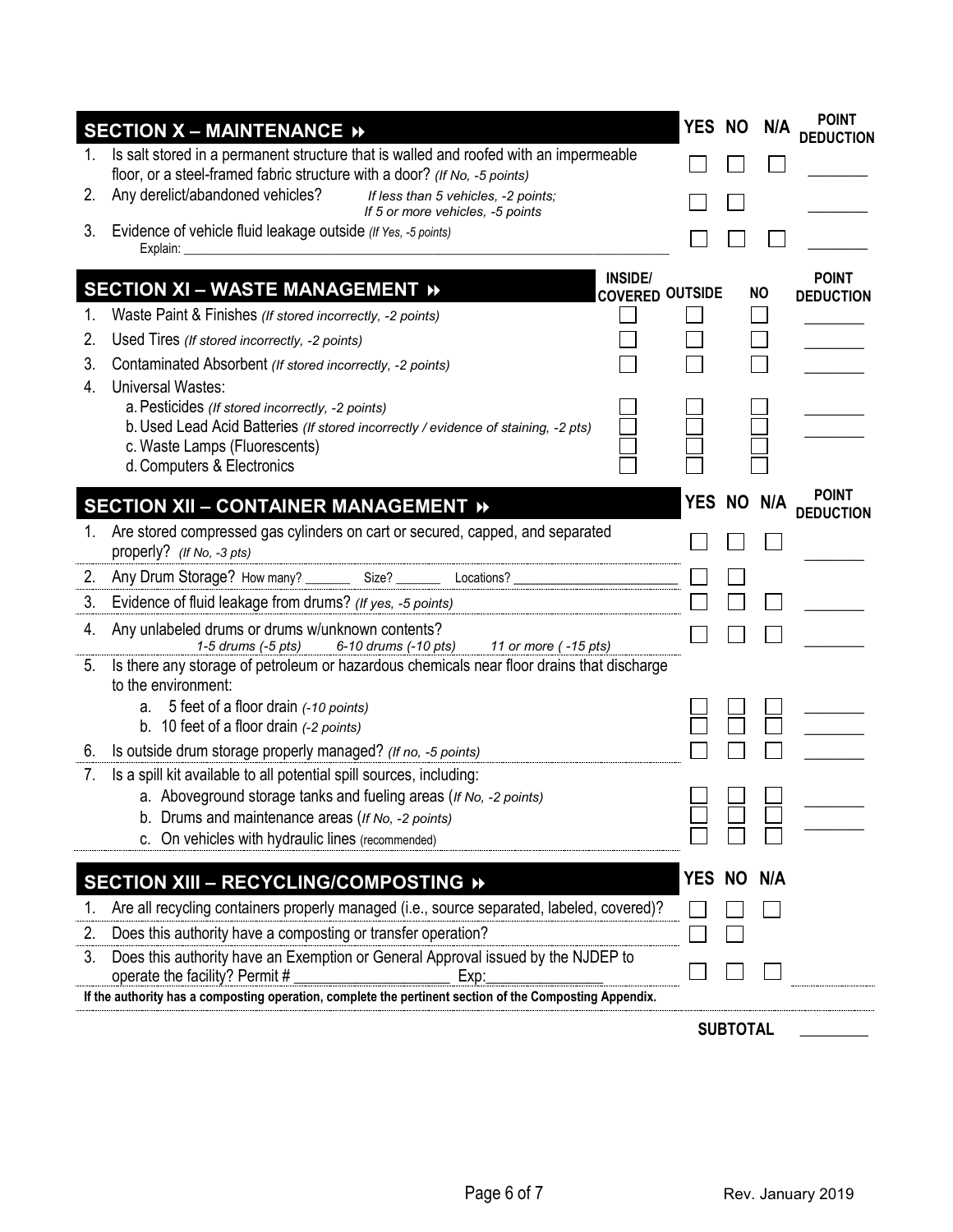|    | <b>SECTION X - MAINTENANCE »</b>                                                                                                                                   |            |                 | YES NO N/A | <b>POINT</b><br><b>DEDUCTION</b> |
|----|--------------------------------------------------------------------------------------------------------------------------------------------------------------------|------------|-----------------|------------|----------------------------------|
| 1. | Is salt stored in a permanent structure that is walled and roofed with an impermeable<br>floor, or a steel-framed fabric structure with a door? (If No, -5 points) |            |                 |            |                                  |
| 2. | Any derelict/abandoned vehicles?<br>If less than 5 vehicles, -2 points;<br>If 5 or more vehicles, -5 points                                                        |            |                 |            |                                  |
| 3. | Evidence of vehicle fluid leakage outside (If Yes, -5 points)<br>Explain:                                                                                          |            |                 |            |                                  |
|    | <b>INSIDE/</b><br><b>SECTION XI - WASTE MANAGEMENT »</b><br><b>COVERED OUTSIDE</b>                                                                                 |            |                 | <b>NO</b>  | <b>POINT</b><br><b>DEDUCTION</b> |
|    | Waste Paint & Finishes (If stored incorrectly, -2 points)                                                                                                          |            |                 |            |                                  |
| 2. | Used Tires (If stored incorrectly, -2 points)                                                                                                                      |            |                 |            |                                  |
| 3. | Contaminated Absorbent (If stored incorrectly, -2 points)                                                                                                          |            |                 |            |                                  |
| 4. | <b>Universal Wastes:</b>                                                                                                                                           |            |                 |            |                                  |
|    | a. Pesticides (If stored incorrectly, -2 points)<br>b. Used Lead Acid Batteries (If stored incorrectly / evidence of staining, -2 pts)                             |            |                 |            |                                  |
|    | c. Waste Lamps (Fluorescents)                                                                                                                                      |            |                 |            |                                  |
|    | d. Computers & Electronics                                                                                                                                         |            |                 |            |                                  |
|    |                                                                                                                                                                    | YES NO N/A |                 |            | <b>POINT</b>                     |
|    | SECTION XII - CONTAINER MANAGEMENT »                                                                                                                               |            |                 |            | <b>DEDUCTION</b>                 |
| 1. | Are stored compressed gas cylinders on cart or secured, capped, and separated<br>properly? (If No, -3 pts)                                                         |            |                 |            |                                  |
| 2. | Any Drum Storage? How many? _________ Size? _________ Locations? _                                                                                                 |            |                 |            |                                  |
| 3. | Evidence of fluid leakage from drums? (If yes, -5 points)                                                                                                          |            |                 |            |                                  |
| 4. | Any unlabeled drums or drums w/unknown contents?<br>1-5 drums (-5 pts)<br>6-10 drums (-10 pts) 11 or more (-15 pts)                                                |            |                 |            |                                  |
| 5. | Is there any storage of petroleum or hazardous chemicals near floor drains that discharge<br>to the environment:                                                   |            |                 |            |                                  |
|    | a. 5 feet of a floor drain (-10 points)                                                                                                                            |            |                 |            |                                  |
|    | b. 10 feet of a floor drain (-2 points)                                                                                                                            |            |                 |            |                                  |
| 6. | Is outside drum storage properly managed? (If no, -5 points)                                                                                                       |            |                 |            |                                  |
| 7. | Is a spill kit available to all potential spill sources, including:                                                                                                |            |                 |            |                                  |
|    | a. Aboveground storage tanks and fueling areas (If No, -2 points)                                                                                                  |            |                 |            |                                  |
|    | b. Drums and maintenance areas (If No, -2 points)<br>c. On vehicles with hydraulic lines (recommended)                                                             |            |                 |            |                                  |
|    |                                                                                                                                                                    |            |                 |            |                                  |
|    | SECTION XIII - RECYCLING/COMPOSTING »                                                                                                                              | YES NO     |                 | N/A        |                                  |
|    | Are all recycling containers properly managed (i.e., source separated, labeled, covered)?                                                                          |            |                 |            |                                  |
| 2. | Does this authority have a composting or transfer operation?                                                                                                       |            |                 |            |                                  |
| 3. | Does this authority have an Exemption or General Approval issued by the NJDEP to                                                                                   |            |                 |            |                                  |
|    | operate the facility? Permit #<br>Exp:                                                                                                                             |            |                 |            |                                  |
|    | If the authority has a composting operation, complete the pertinent section of the Composting Appendix.                                                            |            |                 |            |                                  |
|    |                                                                                                                                                                    |            | <b>SUBTOTAL</b> |            |                                  |